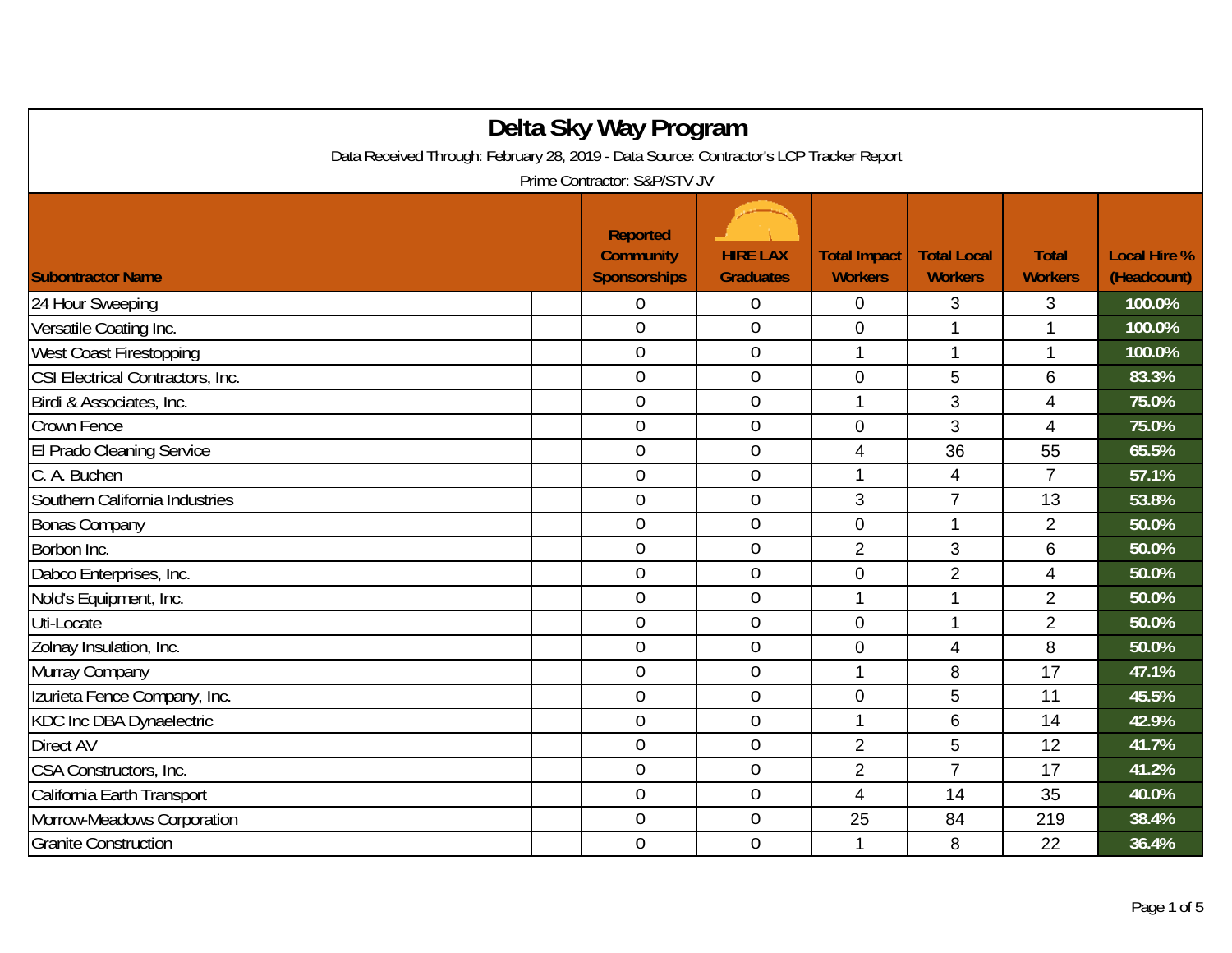| Delta Sky Way Program                                                                   |                                                            |                                     |                                       |                                      |                                |                                    |  |  |
|-----------------------------------------------------------------------------------------|------------------------------------------------------------|-------------------------------------|---------------------------------------|--------------------------------------|--------------------------------|------------------------------------|--|--|
| Data Received Through: February 28, 2019 - Data Source: Contractor's LCP Tracker Report |                                                            |                                     |                                       |                                      |                                |                                    |  |  |
| Prime Contractor: S&P/STV JV                                                            |                                                            |                                     |                                       |                                      |                                |                                    |  |  |
| <b>Subontractor Name</b>                                                                | <b>Reported</b><br><b>Community</b><br><b>Sponsorships</b> | <b>HIRE LAX</b><br><b>Graduates</b> | <b>Total Impact</b><br><b>Workers</b> | <b>Total Local</b><br><b>Workers</b> | <b>Total</b><br><b>Workers</b> | <b>Local Hire %</b><br>(Headcount) |  |  |
| 24 Hour Sweeping                                                                        | $\overline{0}$                                             | $\boldsymbol{0}$                    | $\mathbf 0$                           | 3                                    | 3                              | 100.0%                             |  |  |
| Versatile Coating Inc.                                                                  | $\overline{0}$                                             | $\overline{0}$                      | $\mathbf 0$                           | 1                                    | 1                              | 100.0%                             |  |  |
| West Coast Firestopping                                                                 | $\theta$                                                   | $\mathbf 0$                         | 1                                     | 1                                    | 1                              | 100.0%                             |  |  |
| CSI Electrical Contractors, Inc.                                                        | $\overline{0}$                                             | $\overline{0}$                      | $\overline{0}$                        | 5                                    | 6                              | 83.3%                              |  |  |
| Birdi & Associates, Inc.                                                                | $\mathbf 0$                                                | $\mathbf 0$                         | 1                                     | 3                                    | $\overline{\mathcal{A}}$       | 75.0%                              |  |  |
| Crown Fence                                                                             | $\overline{0}$                                             | $\overline{0}$                      | $\mathbf{0}$                          | 3                                    | $\overline{4}$                 | 75.0%                              |  |  |
| El Prado Cleaning Service                                                               | $\overline{0}$                                             | $\theta$                            | 4                                     | 36                                   | 55                             | 65.5%                              |  |  |
| C. A. Buchen                                                                            | $\mathbf 0$                                                | $\mathbf 0$                         | 1                                     | $\overline{\mathcal{A}}$             | $\overline{7}$                 | 57.1%                              |  |  |
| Southern California Industries                                                          | $\overline{0}$                                             | $\overline{0}$                      | 3                                     | $\overline{7}$                       | 13                             | 53.8%                              |  |  |
| <b>Bonas Company</b>                                                                    | $\overline{0}$                                             | $\overline{0}$                      | $\mathbf{0}$                          | 1                                    | $\overline{2}$                 | 50.0%                              |  |  |
| Borbon Inc.                                                                             | $\overline{0}$                                             | $\mathbf 0$                         | $\overline{2}$                        | 3                                    | 6                              | 50.0%                              |  |  |
| Dabco Enterprises, Inc.                                                                 | $\theta$                                                   | $\mathbf 0$                         | $\mathbf 0$                           | $\overline{2}$                       | $\overline{4}$                 | 50.0%                              |  |  |
| Nold's Equipment, Inc.                                                                  | $\overline{0}$                                             | $\overline{0}$                      | $\mathbf 1$                           | 1                                    | $\overline{2}$                 | 50.0%                              |  |  |
| Uti-Locate                                                                              | $\overline{0}$                                             | $\boldsymbol{0}$                    | $\mathbf{0}$                          | 1                                    | $\overline{2}$                 | 50.0%                              |  |  |
| Zolnay Insulation, Inc.                                                                 | $\overline{0}$                                             | $\mathbf 0$                         | $\mathbf 0$                           | 4                                    | 8                              | 50.0%                              |  |  |
| Murray Company                                                                          | $\boldsymbol{0}$                                           | $\theta$                            | 1                                     | 8                                    | 17                             | 47.1%                              |  |  |
| Izurieta Fence Company, Inc.                                                            | $\mathbf 0$                                                | $\theta$                            | $\mathbf 0$                           | 5                                    | 11                             | 45.5%                              |  |  |
| <b>KDC Inc DBA Dynaelectric</b>                                                         | $\mathbf 0$                                                | $\overline{0}$                      | 1                                     | 6                                    | 14                             | 42.9%                              |  |  |
| Direct AV                                                                               | $\overline{0}$                                             | $\mathbf 0$                         | $\overline{2}$                        | 5                                    | 12                             | 41.7%                              |  |  |
| CSA Constructors, Inc.                                                                  | $\overline{0}$                                             | $\mathbf 0$                         | $\overline{2}$                        | $\overline{7}$                       | 17                             | 41.2%                              |  |  |
| California Earth Transport                                                              | $\mathbf 0$                                                | $\mathbf 0$                         | $\overline{4}$                        | 14                                   | 35                             | 40.0%                              |  |  |
| Morrow-Meadows Corporation                                                              | $\mathbf 0$                                                | $\overline{0}$                      | 25                                    | 84                                   | 219                            | 38.4%                              |  |  |
| <b>Granite Construction</b>                                                             | $\overline{0}$                                             | $\mathbf 0$                         | 1                                     | 8                                    | 22                             | 36.4%                              |  |  |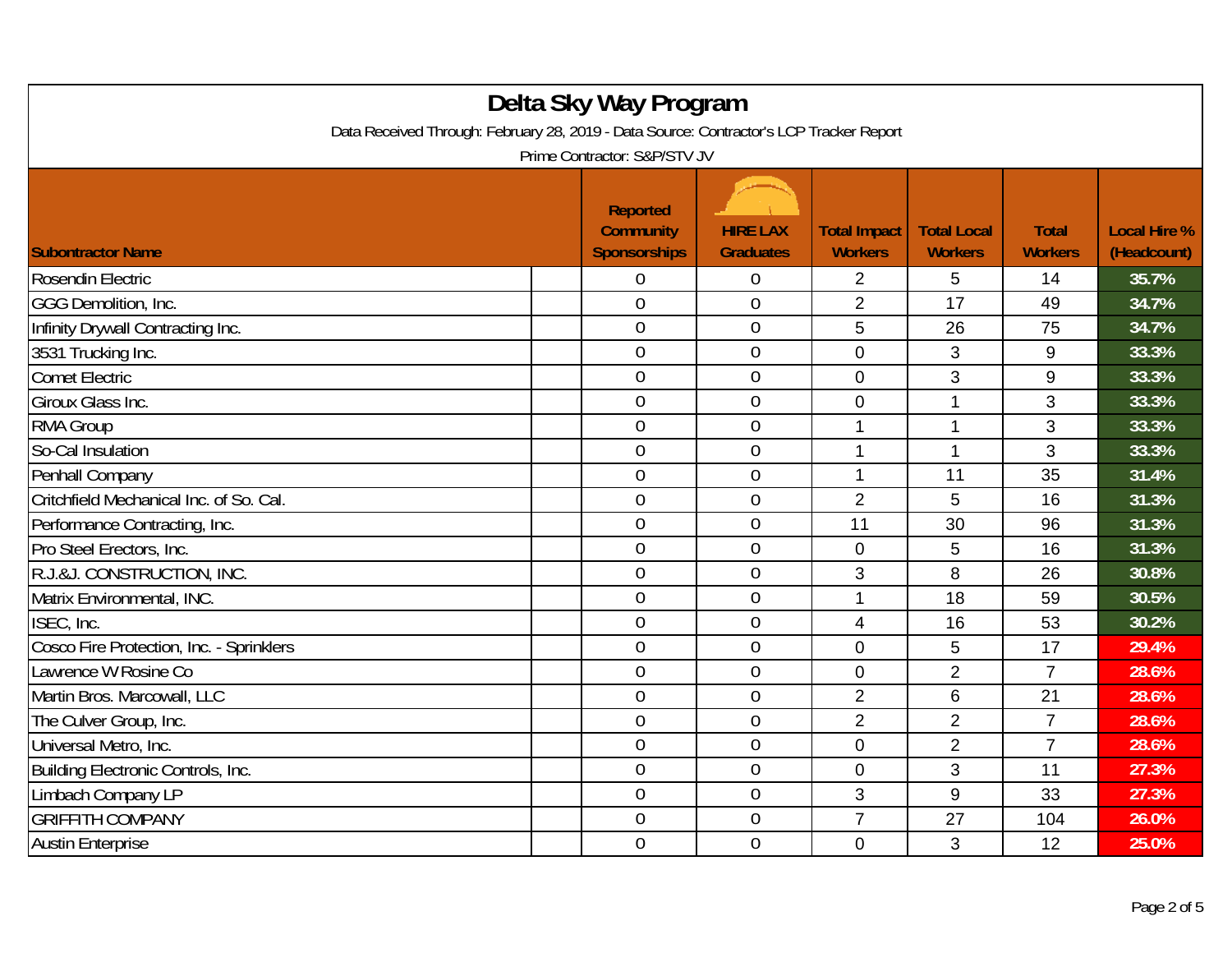| Delta Sky Way Program<br>Data Received Through: February 28, 2019 - Data Source: Contractor's LCP Tracker Report<br>Prime Contractor: S&P/STV JV |                                                            |                                     |                                       |                                      |                                |                                    |  |  |
|--------------------------------------------------------------------------------------------------------------------------------------------------|------------------------------------------------------------|-------------------------------------|---------------------------------------|--------------------------------------|--------------------------------|------------------------------------|--|--|
| <b>Subontractor Name</b>                                                                                                                         | <b>Reported</b><br><b>Community</b><br><b>Sponsorships</b> | <b>HIRE LAX</b><br><b>Graduates</b> | <b>Total Impact</b><br><b>Workers</b> | <b>Total Local</b><br><b>Workers</b> | <b>Total</b><br><b>Workers</b> | <b>Local Hire %</b><br>(Headcount) |  |  |
| Rosendin Electric                                                                                                                                | 0                                                          | 0                                   | $\overline{2}$                        | 5                                    | 14                             | 35.7%                              |  |  |
| GGG Demolition, Inc.                                                                                                                             | $\overline{0}$                                             | $\overline{0}$                      | $\overline{2}$                        | 17                                   | 49                             | 34.7%                              |  |  |
| Infinity Drywall Contracting Inc.                                                                                                                | $\overline{0}$                                             | $\boldsymbol{0}$                    | 5                                     | 26                                   | 75                             | 34.7%                              |  |  |
| 3531 Trucking Inc.                                                                                                                               | $\theta$                                                   | $\mathbf 0$                         | $\overline{0}$                        | 3                                    | 9                              | 33.3%                              |  |  |
| <b>Comet Electric</b>                                                                                                                            | $\overline{0}$                                             | $\overline{0}$                      | $\overline{0}$                        | 3                                    | 9                              | 33.3%                              |  |  |
| Giroux Glass Inc.                                                                                                                                | $\theta$                                                   | $\overline{0}$                      | $\mathbf 0$                           | $\mathbf 1$                          | 3                              | 33.3%                              |  |  |
| <b>RMA Group</b>                                                                                                                                 | $\theta$                                                   | $\mathbf 0$                         | 1                                     | $\mathbf 1$                          | 3                              | 33.3%                              |  |  |
| So-Cal Insulation                                                                                                                                | $\overline{0}$                                             | $\overline{0}$                      | 1                                     | $\mathbf 1$                          | 3                              | 33.3%                              |  |  |
| Penhall Company                                                                                                                                  | $\theta$                                                   | $\boldsymbol{0}$                    | $\mathbf{1}$                          | 11                                   | 35                             | 31.4%                              |  |  |
| Critchfield Mechanical Inc. of So. Cal.                                                                                                          | $\mathbf 0$                                                | $\mathbf 0$                         | $\overline{2}$                        | 5                                    | 16                             | 31.3%                              |  |  |
| Performance Contracting, Inc.                                                                                                                    | $\overline{0}$                                             | $\overline{0}$                      | 11                                    | 30                                   | 96                             | 31.3%                              |  |  |
| Pro Steel Erectors, Inc.                                                                                                                         | $\overline{0}$                                             | $\overline{0}$                      | $\mathbf 0$                           | 5                                    | 16                             | 31.3%                              |  |  |
| R.J.&J. CONSTRUCTION, INC.                                                                                                                       | $\mathbf 0$                                                | $\mathbf 0$                         | 3                                     | 8                                    | 26                             | 30.8%                              |  |  |
| Matrix Environmental, INC.                                                                                                                       | $\overline{0}$                                             | $\overline{0}$                      | $\mathbf 1$                           | 18                                   | 59                             | 30.5%                              |  |  |
| ISEC, Inc.                                                                                                                                       | $\mathbf 0$                                                | $\boldsymbol{0}$                    | 4                                     | 16                                   | 53                             | 30.2%                              |  |  |
| Cosco Fire Protection, Inc. - Sprinklers                                                                                                         | $\mathbf 0$                                                | $\mathbf 0$                         | $\mathbf 0$                           | 5                                    | 17                             | 29.4%                              |  |  |
| Lawrence W Rosine Co                                                                                                                             | $\overline{0}$                                             | $\overline{0}$                      | $\overline{0}$                        | $\overline{2}$                       | $\overline{7}$                 | 28.6%                              |  |  |
| Martin Bros. Marcowall, LLC                                                                                                                      | $\overline{0}$                                             | $\overline{0}$                      | $\overline{2}$                        | 6                                    | 21                             | 28.6%                              |  |  |
| The Culver Group, Inc.                                                                                                                           | $\mathbf 0$                                                | $\mathbf 0$                         | $\overline{2}$                        | $\overline{2}$                       | $\overline{7}$                 | 28.6%                              |  |  |
| Universal Metro, Inc.                                                                                                                            | $\theta$                                                   | $\overline{0}$                      | $\mathbf 0$                           | $\overline{2}$                       | $\overline{7}$                 | 28.6%                              |  |  |
| Building Electronic Controls, Inc.                                                                                                               | $\theta$                                                   | $\mathbf 0$                         | $\mathbf 0$                           | 3                                    | 11                             | 27.3%                              |  |  |
| Limbach Company LP                                                                                                                               | $\mathbf 0$                                                | $\mathbf 0$                         | 3                                     | 9                                    | 33                             | 27.3%                              |  |  |
| <b>GRIFFITH COMPANY</b>                                                                                                                          | $\theta$                                                   | $\boldsymbol{0}$                    | $\overline{7}$                        | 27                                   | 104                            | 26.0%                              |  |  |
| <b>Austin Enterprise</b>                                                                                                                         | $\overline{0}$                                             | $\overline{0}$                      | $\overline{0}$                        | 3                                    | 12                             | 25.0%                              |  |  |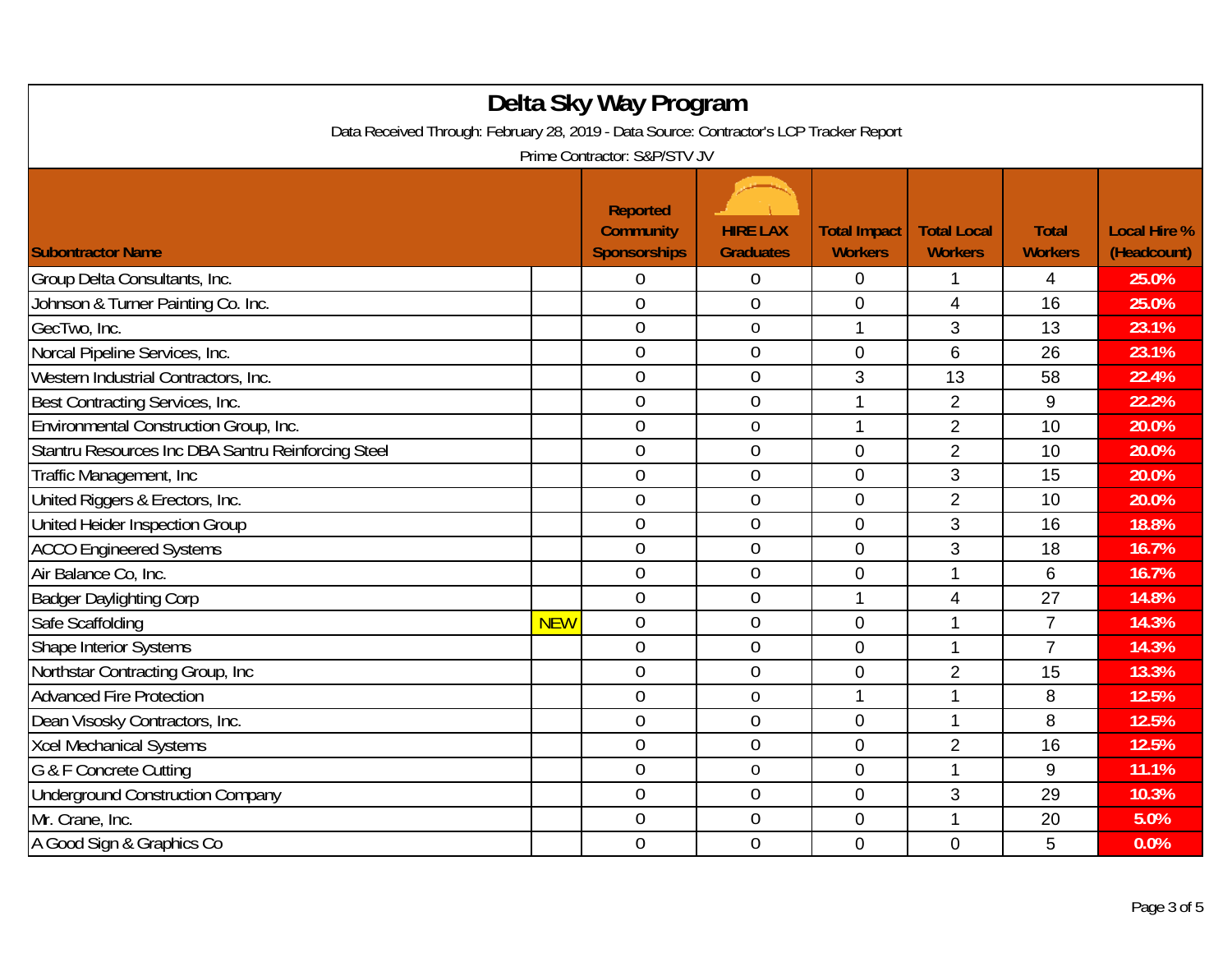| Delta Sky Way Program<br>Data Received Through: February 28, 2019 - Data Source: Contractor's LCP Tracker Report<br>Prime Contractor: S&P/STV JV |            |                                                            |                                     |                                       |                                      |                                |                                    |
|--------------------------------------------------------------------------------------------------------------------------------------------------|------------|------------------------------------------------------------|-------------------------------------|---------------------------------------|--------------------------------------|--------------------------------|------------------------------------|
| <b>Subontractor Name</b>                                                                                                                         |            | <b>Reported</b><br><b>Community</b><br><b>Sponsorships</b> | <b>HIRE LAX</b><br><b>Graduates</b> | <b>Total Impact</b><br><b>Workers</b> | <b>Total Local</b><br><b>Workers</b> | <b>Total</b><br><b>Workers</b> | <b>Local Hire %</b><br>(Headcount) |
| Group Delta Consultants, Inc.                                                                                                                    |            | 0                                                          | 0                                   | 0                                     | 1                                    | 4                              | 25.0%                              |
| Johnson & Turner Painting Co. Inc.                                                                                                               |            | $\overline{0}$                                             | $\overline{0}$                      | $\overline{0}$                        | $\overline{4}$                       | 16                             | 25.0%                              |
| GecTwo, Inc.                                                                                                                                     |            | $\theta$                                                   | $\boldsymbol{0}$                    | 1                                     | 3                                    | 13                             | 23.1%                              |
| Norcal Pipeline Services, Inc.                                                                                                                   |            | $\theta$                                                   | $\overline{0}$                      | $\mathbf 0$                           | 6                                    | 26                             | 23.1%                              |
| Western Industrial Contractors, Inc.                                                                                                             |            | $\overline{0}$                                             | $\overline{0}$                      | 3                                     | 13                                   | 58                             | 22.4%                              |
| Best Contracting Services, Inc.                                                                                                                  |            | $\theta$                                                   | $\mathbf 0$                         | 1                                     | $\overline{2}$                       | $\boldsymbol{9}$               | 22.2%                              |
| Environmental Construction Group, Inc.                                                                                                           |            | $\overline{0}$                                             | $\mathbf 0$                         | 1                                     | $\overline{2}$                       | 10                             | 20.0%                              |
| Stantru Resources Inc DBA Santru Reinforcing Steel                                                                                               |            | $\mathbf 0$                                                | $\overline{0}$                      | $\mathbf 0$                           | $\overline{2}$                       | 10                             | 20.0%                              |
| Traffic Management, Inc.                                                                                                                         |            | $\boldsymbol{0}$                                           | $\mathbf 0$                         | $\mathbf 0$                           | 3                                    | 15                             | 20.0%                              |
| United Riggers & Erectors, Inc.                                                                                                                  |            | $\mathbf 0$                                                | $\mathbf 0$                         | $\mathbf 0$                           | $\overline{2}$                       | 10                             | 20.0%                              |
| United Heider Inspection Group                                                                                                                   |            | $\overline{0}$                                             | $\overline{0}$                      | $\overline{0}$                        | 3                                    | 16                             | 18.8%                              |
| <b>ACCO Engineered Systems</b>                                                                                                                   |            | $\boldsymbol{0}$                                           | $\overline{0}$                      | $\mathbf 0$                           | 3                                    | 18                             | 16.7%                              |
| Air Balance Co, Inc.                                                                                                                             |            | $\mathbf 0$                                                | $\overline{0}$                      | $\overline{0}$                        | $\mathbf{1}$                         | 6                              | 16.7%                              |
| <b>Badger Daylighting Corp</b>                                                                                                                   |            | $\overline{0}$                                             | $\overline{0}$                      | 1                                     | $\overline{4}$                       | 27                             | 14.8%                              |
| Safe Scaffolding                                                                                                                                 | <b>NEW</b> | $\mathbf 0$                                                | 0                                   | $\overline{0}$                        | 1                                    | $\overline{7}$                 | 14.3%                              |
| Shape Interior Systems                                                                                                                           |            | $\mathbf 0$                                                | $\overline{0}$                      | $\mathbf 0$                           | 1                                    | $\overline{7}$                 | 14.3%                              |
| Northstar Contracting Group, Inc                                                                                                                 |            | $\mathbf 0$                                                | $\overline{0}$                      | $\overline{0}$                        | $\overline{2}$                       | 15                             | 13.3%                              |
| <b>Advanced Fire Protection</b>                                                                                                                  |            | $\overline{0}$                                             | $\mathbf 0$                         | 1                                     | 1                                    | 8                              | 12.5%                              |
| Dean Visosky Contractors, Inc.                                                                                                                   |            | $\mathbf 0$                                                | $\overline{0}$                      | $\mathbf 0$                           | 1                                    | 8                              | 12.5%                              |
| <b>Xcel Mechanical Systems</b>                                                                                                                   |            | $\theta$                                                   | $\mathbf 0$                         | $\mathbf 0$                           | $\overline{2}$                       | 16                             | 12.5%                              |
| G & F Concrete Cutting                                                                                                                           |            | $\theta$                                                   | $\mathbf 0$                         | $\overline{0}$                        | 1                                    | 9                              | 11.1%                              |
| <b>Underground Construction Company</b>                                                                                                          |            | $\mathbf 0$                                                | $\overline{0}$                      | $\mathbf 0$                           | 3                                    | 29                             | 10.3%                              |
| Mr. Crane, Inc.                                                                                                                                  |            | 0                                                          | $\boldsymbol{0}$                    | $\mathbf 0$                           | $\mathbf 1$                          | 20                             | 5.0%                               |
| A Good Sign & Graphics Co                                                                                                                        |            | $\overline{0}$                                             | $\overline{0}$                      | $\mathbf 0$                           | $\Omega$                             | 5                              | 0.0%                               |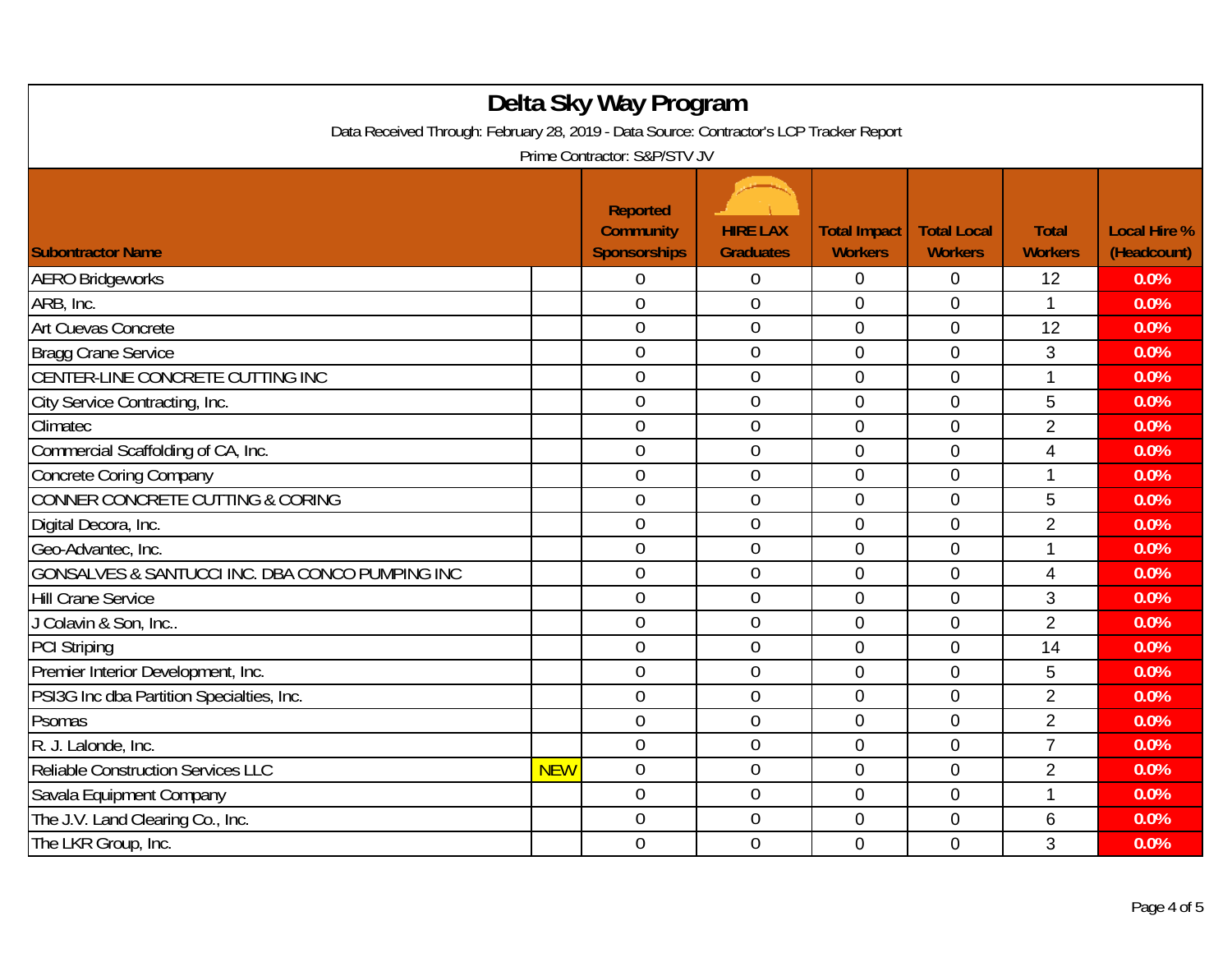| Delta Sky Way Program<br>Data Received Through: February 28, 2019 - Data Source: Contractor's LCP Tracker Report<br>Prime Contractor: S&P/STV JV |            |                |                  |                |                |                |      |
|--------------------------------------------------------------------------------------------------------------------------------------------------|------------|----------------|------------------|----------------|----------------|----------------|------|
|                                                                                                                                                  |            |                |                  |                |                |                |      |
| <b>AERO Bridgeworks</b>                                                                                                                          |            | $\theta$       | 0                | 0              | 0              | 12             | 0.0% |
| ARB, Inc.                                                                                                                                        |            | $\overline{0}$ | $\overline{0}$   | $\mathbf 0$    | $\overline{0}$ | $\mathbf{1}$   | 0.0% |
| Art Cuevas Concrete                                                                                                                              |            | $\overline{0}$ | $\boldsymbol{0}$ | $\mathbf 0$    | $\mathbf 0$    | 12             | 0.0% |
| <b>Bragg Crane Service</b>                                                                                                                       |            | $\mathbf 0$    | $\mathbf 0$      | $\mathbf 0$    | $\mathbf 0$    | 3              | 0.0% |
| CENTER-LINE CONCRETE CUTTING INC                                                                                                                 |            | $\mathbf 0$    | $\overline{0}$   | $\mathbf 0$    | $\overline{0}$ | $\mathbf{1}$   | 0.0% |
| City Service Contracting, Inc.                                                                                                                   |            | $\overline{0}$ | $\overline{0}$   | $\mathbf 0$    | $\mathbf 0$    | 5              | 0.0% |
| Climatec                                                                                                                                         |            | $\overline{0}$ | $\mathbf 0$      | $\mathbf 0$    | $\mathbf 0$    | $\overline{2}$ | 0.0% |
| Commercial Scaffolding of CA, Inc.                                                                                                               |            | $\overline{0}$ | 0                | $\overline{0}$ | $\overline{0}$ | $\overline{4}$ | 0.0% |
| <b>Concrete Coring Company</b>                                                                                                                   |            | $\overline{0}$ | $\mathbf 0$      | $\mathbf 0$    | $\overline{0}$ | $\mathbf{1}$   | 0.0% |
| CONNER CONCRETE CUTTING & CORING                                                                                                                 |            | $\mathbf 0$    | $\mathbf 0$      | $\mathbf 0$    | $\mathbf 0$    | 5              | 0.0% |
| Digital Decora, Inc.                                                                                                                             |            | $\overline{0}$ | $\overline{0}$   | $\overline{0}$ | $\overline{0}$ | $\overline{2}$ | 0.0% |
| Geo-Advantec, Inc.                                                                                                                               |            | $\overline{0}$ | 0                | $\overline{0}$ | $\overline{0}$ | 1              | 0.0% |
| GONSALVES & SANTUCCI INC. DBA CONCO PUMPING INC                                                                                                  |            | $\overline{0}$ | 0                | $\mathbf 0$    | $\mathbf 0$    | $\overline{4}$ | 0.0% |
| <b>Hill Crane Service</b>                                                                                                                        |            | $\overline{0}$ | 0                | $\overline{0}$ | $\overline{0}$ | 3              | 0.0% |
| J Colavin & Son, Inc                                                                                                                             |            | $\mathbf 0$    | 0                | $\mathbf 0$    | $\mathbf 0$    | $\overline{2}$ | 0.0% |
| <b>PCI Striping</b>                                                                                                                              |            | $\mathbf 0$    | $\mathbf 0$      | $\mathbf 0$    | $\mathbf 0$    | 14             | 0.0% |
| Premier Interior Development, Inc.                                                                                                               |            | $\overline{0}$ | 0                | $\overline{0}$ | $\mathbf 0$    | 5              | 0.0% |
| PSI3G Inc dba Partition Specialties, Inc.                                                                                                        |            | $\overline{0}$ | $\overline{0}$   | $\overline{0}$ | $\overline{0}$ | $\overline{2}$ | 0.0% |
| Psomas                                                                                                                                           |            | $\mathbf 0$    | $\overline{0}$   | $\mathbf 0$    | $\overline{0}$ | $\overline{2}$ | 0.0% |
| R. J. Lalonde, Inc.                                                                                                                              |            | $\mathbf 0$    | 0                | $\mathbf 0$    | $\mathbf 0$    | $\overline{7}$ | 0.0% |
| Reliable Construction Services LLC                                                                                                               | <b>NEW</b> | $\mathbf 0$    | $\mathbf 0$      | $\mathbf 0$    | $\overline{0}$ | $\overline{2}$ | 0.0% |
| Savala Equipment Company                                                                                                                         |            | $\mathbf 0$    | $\mathbf 0$      | $\mathbf 0$    | $\mathbf 0$    | $\mathbf{1}$   | 0.0% |
| The J.V. Land Clearing Co., Inc.                                                                                                                 |            | $\overline{0}$ | 0                | $\mathbf 0$    | $\mathbf 0$    | 6              | 0.0% |
| The LKR Group, Inc.                                                                                                                              |            | $\overline{0}$ | $\overline{0}$   | $\overline{0}$ | $\overline{0}$ | 3              | 0.0% |